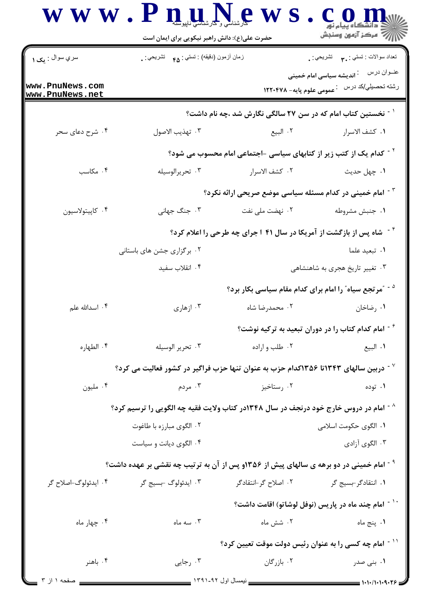| <b>WWW</b>                         | حضرت علی(ع): دانش راهبر نیکویی برای ایمان است                                                      | $\mathbf{P} \in \mathbb{R}^{d}$ رشناسی ر                                       | د دانشگاه پیام نو <b>ر</b><br>راز کا مرڪز آزمون وسنڊش                                                 |
|------------------------------------|----------------------------------------------------------------------------------------------------|--------------------------------------------------------------------------------|-------------------------------------------------------------------------------------------------------|
| سري سوال : يک ۱                    | زمان أزمون (دقيقه) : تستى : <sub>۴۵</sub> تشريحي : .                                               |                                                                                | نعداد سوالات : تستبي : ٩. سمب       تشريحي : .                                                        |
| www.PnuNews.com<br>www.PnuNews.net |                                                                                                    |                                                                                | عنــوان درس<br><sup>:</sup> اندیشه سیاسی امام خمینی<br>رشته تحصیلي/کد در س ۔ عمومی علوم پایه– ۱۲۲۰۴۷۸ |
|                                    |                                                                                                    | <sup>۱ -</sup> نخستین کتاب امام که در سن ۲۷ سالگی نگارش شد ،چه نام داشت؟       |                                                                                                       |
| ۰۴ شرح دعای سحر                    | ٠٣ تهذيب الاصول                                                                                    | ۰۲ البيع                                                                       | ٠١. كشف الاسرار                                                                                       |
|                                    |                                                                                                    | <sup>۲ -</sup> کدام یک از کتب زیر از کتابهای سیاسی -اجتماعی امام محسوب می شود؟ |                                                                                                       |
| ۰۴ مکاسب                           | ۰۳ تحريرالوسيله                                                                                    | ٢. كشف الاسرار                                                                 | ۰۱ چهل حديث                                                                                           |
|                                    |                                                                                                    | <sup>۳ -</sup> امام خمینی در کدام مسئله سیاسی موضع صریحی ارائه نکرد؟           |                                                                                                       |
| ۰۴ كاپيتولاسيون                    | ۰۳ جنگ جهانی                                                                                       | ۲. نهضت ملی نفت                                                                | ٠١ جنبش مشروطه                                                                                        |
|                                    | <sup>۶۰</sup> شاه پس از بازگشت از آمریکا در سال ۴۱ ا جرای چه طرحی را اعلام کرد؟                    |                                                                                |                                                                                                       |
|                                    | ۰۲ برگزاری جشن های باستانی                                                                         |                                                                                | ۰۱ تبعید علما                                                                                         |
|                                    | ۰۴ انقلاب سفيد                                                                                     |                                                                                | ۰۳ تغییر تاریخ هجری به شاهنشاهی                                                                       |
|                                    |                                                                                                    |                                                                                | <sup>۵ -</sup> آمرتجع سیاه ّ را امام برای کدام مقام سیاسی بکار برد؟                                   |
| ۰۴ اسدالله علم                     | ۰۳ ازهاری                                                                                          | ۰۲ محمدرضا شاه                                                                 | ۰۱ رضاخان                                                                                             |
|                                    |                                                                                                    |                                                                                | امام کدام کتاب را در دوران تبعید به ترکیه نوشت $^{\circ}$                                             |
| ۰۴ الطهاره                         | ۰۳ تحرير الوسيله                                                                                   | ۰۲ طلب و اراده                                                                 | ٠١ البيع                                                                                              |
|                                    | دربین سالهای ۱۳۴۳تا ۱۳۵۶کدام حزب به عنوان تنها حزب فراگیر در کشور فعالیت می کرد؟ $^\vee$           |                                                                                |                                                                                                       |
| ۰۴ مليون                           | ۰۳ مردم                                                                                            | ۰۲ رستاخیز                                                                     | ۰۱ توده                                                                                               |
|                                    | <sup>^ -</sup> امام در دروس خارج خود درنجف در سال ۱۳۴۸در کتاب ولایت فقیه چه الگویی را ترسیم کرد؟   |                                                                                |                                                                                                       |
|                                    | ۰۲ الگوی مبارزه با طاغوت                                                                           |                                                                                | ۰۱ الگوی حکومت اسلامی                                                                                 |
|                                    | ۰۴ الگوی دیانت و سیاست                                                                             |                                                                                | ۰۳ الگوی آزادی                                                                                        |
|                                    | <sup>۹ -</sup> امام خمینی در دو برهه ی سالهای پیش از ۱۳۵۶و پس از آن به ترتیب چه نقشی بر عهده داشت؟ |                                                                                |                                                                                                       |
| ۰۴ ایدئولوگ-اصلاح گر               | ۰۳ ایدئولوگ -بسیج گر                                                                               |                                                                                |                                                                                                       |
|                                    |                                                                                                    |                                                                                | <sup>۱۰ -</sup> امام چند ماه در پاریس (نوفل لوشاتو) اقامت داشت؟                                       |
| ۰۴ چهار ماه                        | . سه ماه                                                                                           | ۰۲ شش ماه                                                                      | ۰۱ پنج ماه                                                                                            |
|                                    |                                                                                                    |                                                                                | <sup>۱۱ -</sup> امام چه کسی را به عنوان رئیس دولت موقت تعیین کرد؟                                     |
| ۰۴ باهنر                           | ۰۳ رجایی                                                                                           | ۰۲ بازرگان                                                                     | ۰۱ بنی صدر                                                                                            |
|                                    |                                                                                                    |                                                                                |                                                                                                       |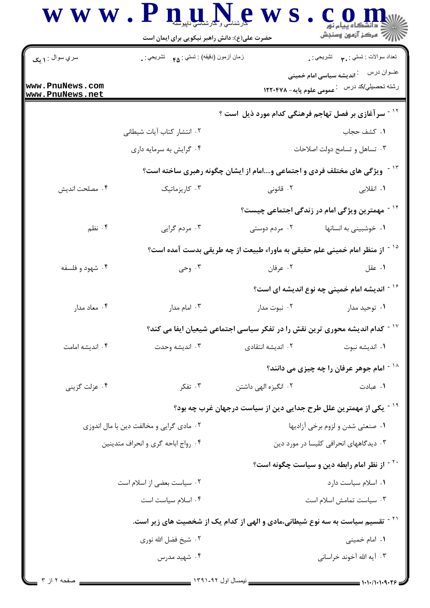